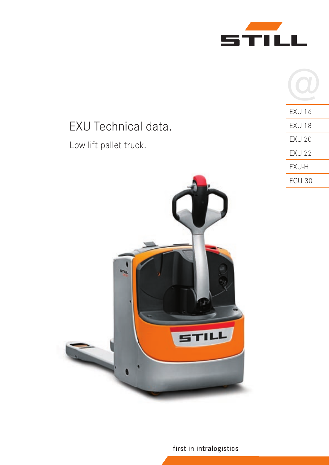

| EXU 16        |
|---------------|
| EXU 18        |
| <b>EXU 20</b> |
| <b>EXU 22</b> |
| EXU-H         |
| <b>EGU 30</b> |

EXU Technical data. Low lift pallet truck.



first in intralogistics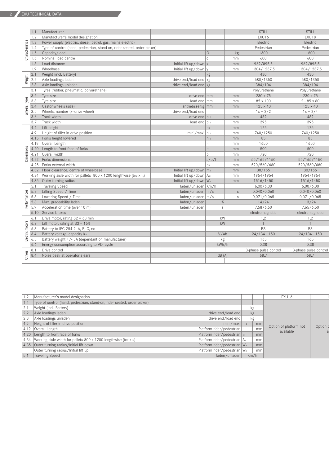|                 | 1.1  | Manufacturer                                                             |                            |                   |              | STILL                 | STILL                 |                |                |
|-----------------|------|--------------------------------------------------------------------------|----------------------------|-------------------|--------------|-----------------------|-----------------------|----------------|----------------|
|                 | 1.2  | Manufacturer's model designation                                         |                            |                   |              | EXU16                 | EXU18                 |                |                |
|                 | 1.3  | Power supply (electric, diesel, petrol, gas, mains electric)             |                            |                   |              | Electric              | Electric              |                |                |
|                 | 1.4  | Type of control (hand, pedestrian, stand-on, rider seated, order picker) |                            |                   |              | Pedestrian            | Pedestrian            |                |                |
|                 | 1.5  | Capacity/load                                                            |                            | l Q               | kg           | 1600                  | 1800                  |                |                |
| Characteristics | 1.6  | Nominal load centre                                                      |                            | l c               | mm           | 600                   | 600                   |                |                |
|                 | 1.8  | Load distance                                                            | Initial lift up/down $x$   |                   | mm           | 962/895,5             | 962/895,5             |                |                |
|                 | 1.9  | Wheelbase                                                                | Initial lift up/down y     |                   | mm           | 1304/1237,5           | 1304/1237,5           |                |                |
|                 | 2.1  | Weight (incl. Battery)                                                   |                            | kg                |              | 430                   | 430                   |                |                |
| Weight          | 2.2  | Axle loadings laden                                                      | drive end/load end kg      |                   |              | 680/1350              | 680/1350              |                |                |
|                 | 2.3  | Axle loadings unladen                                                    | drive end/load end $kg$    |                   |              | 384/104               | 384/104               |                |                |
|                 | 3.1  | Tyres (rubber, pneumatic, polyurethane)                                  |                            |                   |              | Polyurethane          | Polyurethane          |                |                |
|                 | 3.2  | Tyre size                                                                | drive end $\vert$ mm       |                   | mm           | 230 x 75              | 230 x 75              |                |                |
|                 | 3.3  | Tyre size                                                                | load end mm                |                   | mm           | 85 x 100              | $2 - 85 \times 80$    |                |                |
|                 | 3.4  | Castor wheels (size)                                                     | antriebsseitig mm          |                   | mm           | 125 x 40              | 125 x 40              |                |                |
| Wheels, Tyres   | 3.5  | Wheels, number (x=drive wheel)                                           | drive end/load end         |                   |              | $1x + 2/2$            | $1x + 2/4$            |                |                |
|                 | 3.6  | Track width                                                              | drive end $b_{10}$         |                   | mm           | 482                   | 482                   |                |                |
|                 | 3.7  | Track width                                                              | load end $ b_{11} $        |                   | mm           | 395                   | 395                   |                |                |
|                 | 4.4  | Lift height                                                              |                            | $h_3$             | mm           | 125                   | 125                   |                |                |
|                 | 4.9  | Height of tiller in drive position                                       | min/maxi   h <sub>14</sub> |                   | mm           | 740/1250              | 740/1250              |                |                |
|                 | 4.15 | Forks height lowered                                                     |                            | $h_{13}$          | mm           | 85                    | 85                    |                |                |
|                 | 4.19 | Overall Length                                                           |                            | I۱.               | mm           | 1650                  | 1650                  |                |                |
| Dimensions      |      | 4.20 Length to front face of forks                                       |                            | $\vert$ $\vert_2$ | mm           | 500                   | 500                   |                |                |
|                 | 4.21 | Overall width                                                            |                            | $b_1$             | mm           | 720                   | 720                   |                |                |
|                 | 4.22 | Forks dimensions                                                         |                            | s/e/              | mm           | 55/165/1150           | 55/165/1150           |                |                |
|                 | 4.25 | Forks external width                                                     |                            | b <sub>5</sub>    | mm           | 520/560/680           | 520/560/680           |                |                |
|                 | 4.32 | Floor clearance, centre of wheelbase                                     | Initial lift up/down $m_2$ |                   | mm           | 30/155                | 30/155                |                |                |
|                 | 4.34 | Working aisle width for pallets 800 x 1200 lengthwise (b12 x l6)         | Initial lift up/down Ast   |                   | mm           | 1954/1954             | 1954/1954             |                |                |
|                 | 4.35 | Outer turning radius                                                     | Initial lift up/down Wa    |                   | mm           | 1516/1450             | 1516/1450             |                |                |
|                 | 5.1  | <b>Traveling Speed</b>                                                   | laden/unladen   Km/h       |                   |              | 6,00/6,00             | 6,00/6,00             |                |                |
|                 | 5.2  | Lifting Speed / Time                                                     | laden/unladen $m/s$        |                   | $\mathbf{s}$ | 0,040/0,060           | 0,040/0,060           |                |                |
| Performances    | 5.3  | Lowering Speed / Time                                                    | laden/unladen   m/s        |                   | S            | 0,071/0,065           | 0,071/0,065           |                |                |
|                 | 5.8  | Max. gradeability laden                                                  | laden/unladen              |                   | %            | 14/24                 | 13/24                 |                |                |
|                 | 5.9  | Acceleration time (over 10 m)                                            | laden/unladen              |                   | S            | 7,58/6,50             | 7,65/6,50             |                |                |
|                 | 5.10 | Service brakes                                                           |                            |                   |              | electromagnetic       | electromagnetic       |                |                |
|                 | 6.1  | Drive motor, rating $S2 = 60$ min                                        |                            |                   | kW           | 1,2                   | 1,2                   |                |                |
|                 | 6.2  | Lift motor, rating at $S3 = 15%$                                         |                            |                   | kW           |                       |                       |                |                |
| Electric motors | 6.3  | Battery to IEC 254-2; A, B, C, no                                        |                            |                   |              | <b>BS</b>             | <b>BS</b>             |                |                |
|                 | 6.4  | Battery voltage, capacity K5                                             |                            | V/Ah              |              |                       |                       | $24/134 - 150$ | $24/134 - 150$ |
|                 | 6.5  | Battery weight +/- 5% (dependant on manufacturer)                        |                            | kg                |              | 165                   | 165                   |                |                |
|                 | 6.6  | Energy consumption according to VDI cycle                                |                            | kWh/h             |              | 0,38                  | 0.38                  |                |                |
|                 | 8.1  | Drive control                                                            |                            |                   |              | 3-phase pulse control | 3-phase pulse control |                |                |
| Others          | 8.4  | Noise peak at operator's ears                                            |                            |                   | dB(A)        | 68,7                  | 68,7                  |                |                |
|                 |      |                                                                          |                            |                   |              |                       |                       |                |                |

|     | 1.2   Manufacturer's model designation                                             |                                 |      | EXU16                  |          |
|-----|------------------------------------------------------------------------------------|---------------------------------|------|------------------------|----------|
|     | 1.4   Type of control (hand, pedestrian, stand-on, rider seated, order picker)     |                                 |      |                        |          |
| 2.1 | Weight (incl. Battery)                                                             |                                 |      |                        |          |
|     | 2.2 Axle loadings laden                                                            | drive end/load end              | kg   |                        |          |
|     | 2.3 Axle loadings unladen                                                          | drive end/load end              | kg   |                        |          |
|     | 4.9 Height of tiller in drive position                                             | $min/maxi h_{14}$               | mm   | Option of platform not | Option o |
|     | 4.19 Overall Length                                                                | Platform rider/pedestrian   h   | mm   | available              |          |
|     | 4.20 Length to front face of forks                                                 | Platform rider/pedestrian    2  | mm   |                        |          |
|     | 4.34 Working aisle width for pallets 800 x 1200 lengthwise ( $b_{12} \times b_0$ ) | Platform rider/pedestrian   Ast | mm   |                        |          |
|     | 4.35 Outer turning radius/Initial lift down                                        | Platform rider/pedestrian Wa    | mm   |                        |          |
|     | Outer turning radius/Initial lift up                                               | Platform rider/pedestrian Wa    | mm   |                        |          |
|     | 5.1 Traveling Speed                                                                | laden/unladen                   | Km/h |                        |          |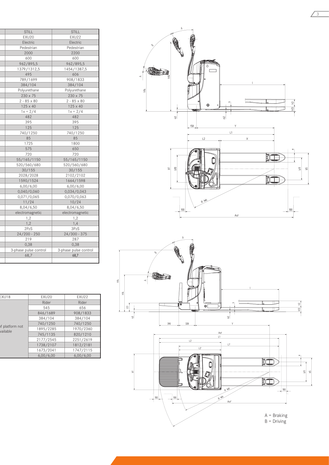| STILL                 | STILL                 |
|-----------------------|-----------------------|
| EXU20                 | EXU22                 |
| Electric              | Electric              |
| Pedestrian            | Pedestrian            |
| 2000                  | 2200                  |
| 600                   | 600                   |
| 962/895,5             | 962/895,5             |
| 1379/1312,5           | 1454/1387,5           |
| 495                   | 606                   |
| 789/1699              | 908/1833              |
| 384/104               | 384/104               |
| Polyurethane          | Polyurethane          |
| 230 x 75              | 230 x 75              |
| $2 - 85 \times 80$    | $2 - 85 \times 80$    |
| 125 x 40              | 125 x 40              |
| $1x + 2/4$            | $1x + 2/4$            |
| 482                   | 482                   |
| 395                   | 395                   |
| 125                   | 125                   |
| 740/1250              | 740/1250              |
| 85                    | 85                    |
| 1725                  | 1800                  |
| 575                   | 650                   |
| 720                   | 720                   |
| 55/165/1150           | 55/165/1150           |
| 520/560/680           | 520/560/680           |
| 30/155                | 30/155                |
| 2028/2028             | 2102/2102             |
| 1590/1524             | 1664/1598             |
| 6,00/6,00             | 6,00/6,00             |
| 0,040/0,060           | 0,034/0,043           |
| 0,071/0,065           | 0,070/0,063           |
| 11/24                 | 10/24                 |
| 8,04/6,50             | 8,04/6,50             |
| electromagnetic       | electromagnetic       |
| 1,2                   | 1,2                   |
| 1,2                   | 1,4                   |
| 2PzS                  | 3PzS                  |
| $24/200 - 250$        | $24/300 - 375$        |
| 219                   | 287                   |
| 0,38                  | 0,38                  |
| 3-phase pulse control | 3-phase pulse control |
| 68,7                  | 68,7                  |
|                       |                       |

| EXU18                       | EXU20     | EXU22     |
|-----------------------------|-----------|-----------|
|                             | Rider     | Rider     |
|                             | 545       | 656       |
|                             | 846/1689  | 908/1833  |
|                             | 384/104   | 384/104   |
|                             | 740/1250  | 740/1250  |
| of platform not<br>vailable | 1895/2285 | 1970/2360 |
|                             | 745/1135  | 820/1210  |
|                             | 2177/2545 | 2251/2619 |
|                             | 1738/2107 | 1812/2181 |
|                             | 1673/2041 | 1747/2115 |
|                             | 6,00/6,00 | 6,00/6,00 |



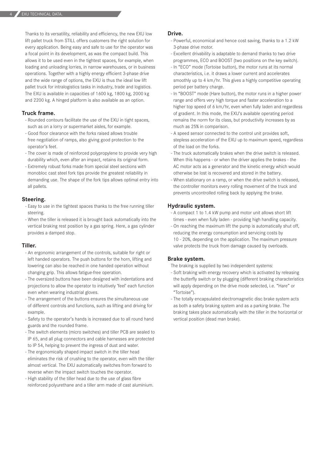Thanks to its versatility, reliability and efficiency, the new EXU low lift pallet truck from STILL offers customers the right solution for every application. Being easy and safe to use for the operator was a focal point in its development, as was the compact build. This allows it to be used even in the tightest spaces, for example, when loading and unloading lorries, in narrow warehouses, or in business operations. Together with a highly energy efficient 3-phase drive and the wide range of options, the EXU is thus the ideal low lift pallet truck for intralogistics tasks in industry, trade and logistics. The EXU is available in capacities of 1600 kg, 1800 kg, 2000 kg and 2200 kg. A hinged platform is also available as an option.

#### **Truck frame.**

- Rounded contours facilitate the use of the EXU in tight spaces, such as on a lorry or supermarket aisles, for example.
- Good floor clearance with the forks raised allows trouble free negotiation of ramps, also giving good protection to the operator's feet.
- The cover is made of reinforced polypropylene to provide very high durability which, even after an impact, retains its original form.
- Extremely robust forks made from special steel sections with monobloc cast steel fork tips provide the greatest reliability in demanding use. The shape of the fork tips allows optimal entry into all pallets.

#### **Steering.**

- Easy to use in the tightest spaces thanks to the free running tiller steering.
- When the tiller is released it is brought back automatically into the vertical braking rest position by a gas spring. Here, a gas cylinder provides a damped stop.

#### **Tiller.**

- An ergonomic arrangement of the controls, suitable for right or left handed operators. The push buttons for the horn, lifting and lowering can also be reached in one handed operation without changing grip. This allows fatigue-free operation.
- The oversized buttons have been designed with indentations and projections to allow the operator to intuitively 'feel' each function even when wearing industrial gloves.
- The arrangement of the buttons ensures the simultaneous use of different controls and functions, such as lifting and driving for example.
- Safety to the operator's hands is increased due to all round hand guards and the rounded frame.
- The switch elements (micro switches) and tiller PCB are sealed to IP 65, and all plug connectors and cable harnesses are protected to IP 54, helping to prevent the ingress of dust and water.
- The ergonomically shaped impact switch in the tiller head eliminates the risk of crushing to the operator, even with the tiller almost vertical. The EXU automatically switches from forward to reverse when the impact switch touches the operator.
- High stability of the tiller head due to the use of glass fibre reinforced polyurethane and a tiller arm made of cast aluminium.

#### **Drive.**

- Powerful, economical and hence cost saving, thanks to a 1.2 kW 3-phase drive motor.
- Excellent drivability is adaptable to demand thanks to two drive programmes, ECO and BOOST (two positions on the key switch).
- In "ECO" mode (Tortoise button), the motor runs at its normal characteristics, i.e. it draws a lower current and accelerates smoothly up to 4 km/hr. This gives a highly competitive operating period per battery charge.
- In "BOOST" mode (Hare button), the motor runs in a higher power range and offers very high torque and faster acceleration to a higher top speed of 6 km/hr, even when fully laden and regardless of gradient. In this mode, the EXU's available operating period remains the norm for its class, but productivity increases by as much as 25% in comparison.
- A speed sensor connected to the control unit provides soft, stepless acceleration of the EXU up to maximum speed, regardless of the load on the forks.
- The truck automatically brakes when the drive switch is released. When this happens - or when the driver applies the brakes - the AC motor acts as a generator and the kinetic energy which would otherwise be lost is recovered and stored in the battery.
- When stationary on a ramp, or when the drive switch is released, the controller monitors every rolling movement of the truck and prevents uncontrolled rolling back by applying the brake.

#### **Hydraulic system.**

- A compact 1 to 1.4 kW pump and motor unit allows short lift times - even when fully laden - providing high handling capacity.
- On reaching the maximum lift the pump is automatically shut off, reducing the energy consumption and servicing costs by 10 - 20%, depending on the application. The maximum pressure valve protects the truck from damage caused by overloads.

#### **Brake system.**

The braking is supplied by two independent systems:

- Soft braking with energy recovery which is activated by releasing the butterfly switch or by plugging (different braking characteristics will apply depending on the drive mode selected, i.e. "Hare" or "Tortoise").
- The totally encapsulated electromagnetic disc brake system acts as both a safety braking system and as a parking brake. The braking takes place automatically with the tiller in the horizontal or vertical position (dead man brake).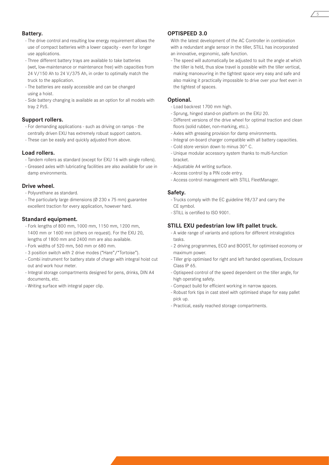#### **Battery.**

- The drive control and resulting low energy requirement allows the use of compact batteries with a lower capacity - even for longer use applications.
- Three different battery trays are available to take batteries (wet, low-maintenance or maintenance free) with capacities from 24 V/150 Ah to 24 V/375 Ah, in order to optimally match the truck to the application.
- The batteries are easily accessible and can be changed using a hoist.
- Side battery changing is available as an option for all models with tray 2 PzS.

### **Support rollers.**

- For demanding applications such as driving on ramps the centrally driven EXU has extremely robust support castors.
- These can be easily and quickly adjusted from above.

#### **Load rollers.**

- Tandem rollers as standard (except for EXU 16 with single rollers).
- Greased axles with lubricating facilities are also available for use in damp environments.

#### **Drive wheel.**

- Polyurethane as standard.
- The particularly large dimensions (Ø 230 x 75 mm) guarantee excellent traction for every application, however hard.

#### **Standard equipment.**

- Fork lengths of 800 mm, 1000 mm, 1150 mm, 1200 mm, 1400 mm or 1600 mm (others on request). For the EXU 20, lengths of 1800 mm and 2400 mm are also available.
- Fork widths of 520 mm, 560 mm or 680 mm.
- 3 position switch with 2 drive modes ("Hare"/"Tortoise").
- Combi instrument for battery state of charge with integral hoist cut out and work hour meter.
- Integral storage compartments designed for pens, drinks, DIN A4 documents, etc.
- Writing surface with integral paper clip.

# **OPTISPEED 3.0**

With the latest development of the AC Controller in combination with a redundant angle sensor in the tiller, STILL has incorporated an innovative, ergonomic, safe function.

- The speed will automatically be adjusted to suit the angle at which the tiller is held, thus slow travel is possible with the tiller vertical, making manoeuvring in the tightest space very easy and safe and also making it practically impossible to drive over your feet even in the tightest of spaces.

## **Optional.**

- Load backrest 1700 mm high.
- Sprung, hinged stand-on platform on the EXU 20.
- Different versions of the drive wheel for optimal traction and clean floors (solid rubber, non-marking, etc.).
- Axles with greasing provision for damp environments.
- Integral on-board charger compatible with all battery capacities.
- Cold store version down to minus 30° C.
- Unique modular accessory system thanks to multi-function bracket.
- Adjustable A4 writing surface.
- Access control by a PIN code entry.
- Access control management with STILL FleetManager.

#### **Safety.**

- Trucks comply with the EC guideline 98/37 and carry the CE symbol.
- STILL is certified to ISO 9001.

#### **STILL EXU pedestrian low lift pallet truck.**

- A wide range of variants and options for different intralogistics tasks.
- 2 driving programmes, ECO and BOOST, for optimised economy or maximum power.
- Tiller grip optimised for right and left handed operatives, Enclosure Class IP 65.
- Optispeed control of the speed dependent on the tiller angle, for high operating safety.
- Compact build for efficient working in narrow spaces.
- Robust fork tips in cast steel with optimised shape for easy pallet pick up.
- Practical, easily reached storage compartments.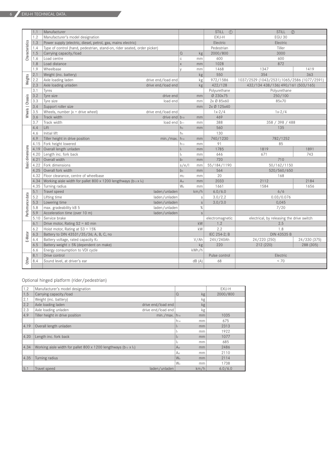|                  | 1.1  | Manufacturer                                                             |                 |              | (1)<br><b>STILL</b> | <b>STILL</b><br>(2)                         |              |  |
|------------------|------|--------------------------------------------------------------------------|-----------------|--------------|---------------------|---------------------------------------------|--------------|--|
|                  | 1.2  | Manufacturer's model designation                                         |                 |              | EXU-H               | <b>EGU 30</b>                               |              |  |
| Characteristics  | 1.3  | Power supply (electric, diesel, petrol, gas, mains electric)             |                 |              | Electric            | Electric                                    |              |  |
|                  | 1.4  | Type of control (hand, pedestrian, stand-on, rider seated, order picker) |                 |              | Pedestrian          | Tiller                                      |              |  |
|                  | 1.5  | Carrying capacity/load                                                   |                 |              | 2000/800            | 3000                                        |              |  |
|                  | 1.6  | Load centre                                                              | C               | mm           | 600                 | 600                                         |              |  |
|                  | 1.8  | Load distance                                                            | X               | mm           | 1028                | 872                                         |              |  |
|                  | 1.9  | Wheelbase                                                                | V               | mm           | 1468                | 1347                                        | 1419         |  |
|                  | 2.1  | Weight (inc. battery)                                                    |                 | kg           | 550                 | 354                                         | 363          |  |
| Weights          | 2.2  | Axle loading laden<br>drive end/load end                                 |                 | kg           | 972/1586            | 1037/2529 (1043/2531) 1065/2586 (1077/2591) |              |  |
|                  | 2.3  | drive end/load end<br>Axle loading unladen                               |                 | kg           | 422/128             | 432/134 438/136) 490/161 (503/165)          |              |  |
|                  | 3.1  | Tyres                                                                    |                 |              | Polyurethane        | Polyurethane                                |              |  |
|                  | 3.2  | Tyre size<br>drive end                                                   |                 | mm           | Ø 230x75            | 250/100                                     |              |  |
|                  | 3.3  | Tyre size<br>load end                                                    |                 | mm           | 2x Ø 85x60          | 85x70                                       |              |  |
| Wheels   Chassis | 3.4  | Support roller size                                                      |                 | mm           | 2x Ø 125x40         |                                             |              |  |
|                  | 3.5  | Wheels, number $(x =$ drive wheel)<br>drive end/load end                 |                 |              | $1x-2/4$            | $1x-2/4$                                    |              |  |
|                  | 3.6  | Track width<br>drive end $ b_{10} $                                      |                 | mm           | 469                 |                                             |              |  |
|                  | 3.7  | Track width<br>load end $ b_{11} $                                       |                 | mm           | 388                 | 358 / 398 / 488                             |              |  |
|                  | 4.4  | Lift                                                                     | h <sub>3</sub>  | mm           | 560                 | 135                                         |              |  |
|                  | 4.6  | Initial lift                                                             | h <sub>5</sub>  |              | 130                 |                                             |              |  |
|                  | 4.9  | Tiller height in drive position<br>$min./max.$ h <sub>14</sub>           |                 | mm           | 740/1230            | 782/1252                                    |              |  |
|                  | 4.15 | Fork height lowered                                                      | $h_{13}$        | mm           | 91                  | 85                                          |              |  |
| Basic dimensions | 4.19 | Overall length unladen                                                   | $\vert_1$       | mm           | 1785                | 1819                                        | 1891         |  |
|                  | 4.20 | Length inc. fork back                                                    | $\vert_2$       | mm           | 646                 | 671                                         | 743          |  |
|                  | 4.21 | Overall width                                                            | b <sub>1</sub>  | mm           | 720                 | 710                                         |              |  |
|                  | 4.22 | Fork dimensions                                                          |                 |              | 55/184/1190         | 50/162/1150                                 |              |  |
|                  | 4.25 | Overall fork width                                                       | b <sub>5</sub>  | mm           | 564                 | 520/560/650                                 |              |  |
|                  | 4.32 | Floor clearance, centre of wheelbase                                     | m <sub>2</sub>  | mm           | 20                  | 168                                         |              |  |
|                  | 4.34 | Working aisle width for pallet 800 x 1200 lengthways (b12 x l6)          | A <sub>st</sub> | mm           | 2033                | 2112                                        | 2184         |  |
|                  | 4.35 | Turning radius                                                           | W <sub>a</sub>  | mm           | 1661                | 1584                                        | 1656         |  |
|                  | 5.1  | Travel speed<br>laden/unladen                                            |                 | km/h         | 6.0/6.0             | 6/6                                         |              |  |
|                  | 5.2  | Lifting time<br>laden/unladen                                            |                 | $\mathbb S$  | 3.0/2.2             | 0.03/0.076                                  |              |  |
|                  | 5.3  | Lowering time<br>laden/unladen                                           |                 | $\mathsf S$  | 3.0/3.0             | 0.045                                       |              |  |
| Performance data | 5.8  | max. gradeability kB 5<br>laden/unladen                                  |                 | %            |                     | 7/20                                        |              |  |
|                  | 5.9  | Acceleration time (over 10 m)<br>laden/unladen                           |                 | $\mathsf{s}$ |                     |                                             |              |  |
|                  | 5.10 | Service brake                                                            |                 |              | electromagnetic     | electrical, by releasing the drive switch   |              |  |
|                  | 6.1  | Drive motor, Rating S2 = 60 min                                          |                 | kW           | 1.2                 | 2.5                                         |              |  |
|                  | 6.2  | Hoist motor, Rating at $S3 = 15%$                                        |                 | kW           | 2.2                 | 1.8                                         |              |  |
| E-Motor          | 6.3  | Battery to DIN 43531/35/36; A, B, C, no                                  |                 |              | IEC 254-2; B        | DIN 43535 B                                 |              |  |
|                  | 6.4  | Battery voltage, rated capacity K5                                       |                 | V/Ah         | 24V/240Ah           | 24/220 (250)                                | 24/330 (375) |  |
|                  | 6.5  | Battery weight ± 5% (dependent on make)                                  |                 | kg           | 220                 | 212 (220)                                   | 288 (305)    |  |
|                  | 6.6  | Energy consumption to VDI cycle                                          |                 | kWh/h        |                     |                                             |              |  |
|                  | 8.1  | Drive control                                                            |                 |              | Pulse control       | Electric                                    |              |  |
| Other            | 8.4  | Sound level, at driver's ear                                             |                 | dB(A)        | 68                  | < 70                                        |              |  |
|                  |      |                                                                          |                 |              |                     |                                             |              |  |

Optional hinged platform (rider/pedestrian)

| 1.2  | Manufacturer's model designation                                             |                             |                      |      | EXU-H    |
|------|------------------------------------------------------------------------------|-----------------------------|----------------------|------|----------|
| 1.5  | Carrying capacity/load                                                       |                             | $\Omega$             | kg   | 2000/800 |
| 2.1  | Weight (inc. battery)                                                        |                             |                      | kg   |          |
| 2.2  | Axle loading laden                                                           | drive end/load end          |                      | kg   |          |
| 2.3  | Axle loading unladen                                                         | drive end/load end          |                      | kg   |          |
| 4.9  | Tiller height in drive position                                              | $min./max.$ h <sub>14</sub> |                      | mm   | 1035     |
|      |                                                                              |                             | $h_{14}$             | mm   | 675      |
| 4.19 | Overall length unladen                                                       |                             | $\vert$ 1            | mm   | 2313     |
|      |                                                                              |                             | I1                   | mm   | 1922     |
| 4.20 | Length inc. fork back                                                        |                             | $\vert$ <sub>2</sub> | mm   | 1077     |
|      |                                                                              |                             | l2                   | mm   | 685      |
| 4.34 | Working aisle width for pallet 800 x 1200 lengthways ( $b_{12} \times l_2$ ) |                             | A <sub>st</sub>      | mm   | 2486     |
|      |                                                                              |                             | Ast                  | mm   | 2110     |
| 4.35 | Turning radius                                                               |                             | W <sub>a</sub>       | mm   | 2114     |
|      |                                                                              |                             | W <sub>a</sub>       | mm   | 1738     |
| 5.1  | Travel speed                                                                 | laden/unladen               |                      | km/h | 6.0/6.0  |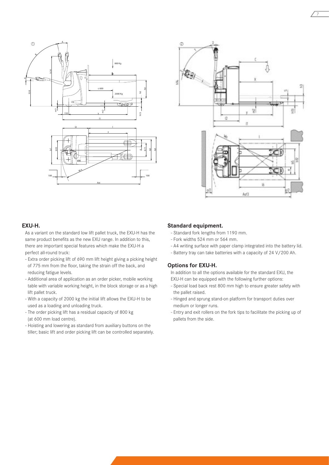



7

#### **EXU-H.**

As a variant on the standard low lift pallet truck, the EXU-H has the same product benefits as the new EXU range. In addition to this, there are important special features which make the EXU-H a perfect all-round truck:

- Extra order picking lift of 690 mm lift height giving a picking height of 775 mm from the floor, taking the strain off the back, and reducing fatigue levels.
- Additional area of application as an order picker, mobile working table with variable working height, in the block storage or as a high lift pallet truck.
- With a capacity of 2000 kg the initial lift allows the EXU-H to be used as a loading and unloading truck.
- The order picking lift has a residual capacity of 800 kg (at 600 mm load centre).
- Hoisting and lowering as standard from auxiliary buttons on the tiller; basic lift and order picking lift can be controlled separately.

#### **Standard equipment.**

- Standard fork lengths from 1190 mm.
- Fork widths 524 mm or 564 mm.
- A4 writing surface with paper clamp integrated into the battery lid.
- Battery tray can take batteries with a capacity of 24 V/200 Ah.

# **Options for EXU-H.**

In addition to all the options available for the standard EXU, the EXU-H can be equipped with the following further options:

- Special load back rest 800 mm high to ensure greater safety with the pallet raised.
- Hinged and sprung stand-on platform for transport duties over medium or longer runs.
- Entry and exit rollers on the fork tips to facilitate the picking up of pallets from the side.